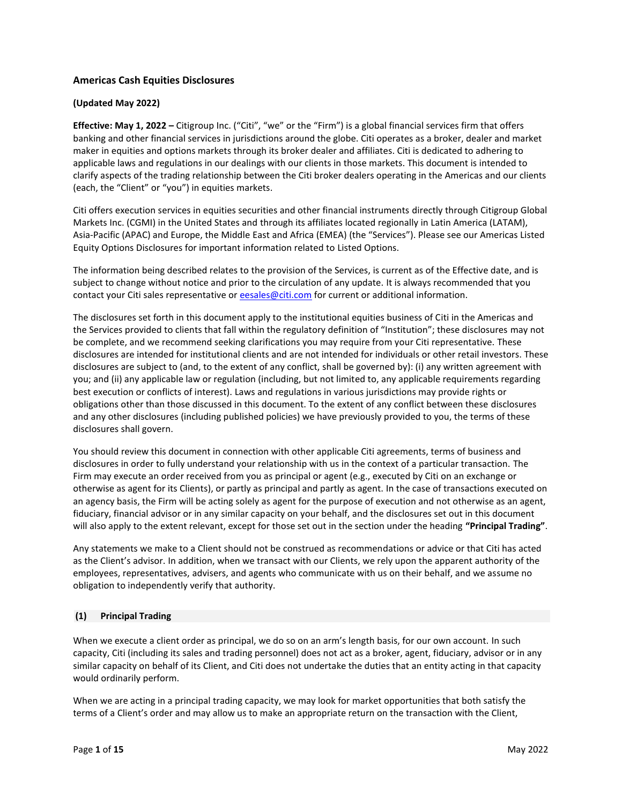# **Americas Cash Equities Disclosures**

# **(Updated May 2022)**

**Effective: May 1, 2022 –** Citigroup Inc. ("Citi", "we" or the "Firm") is a global financial services firm that offers banking and other financial services in jurisdictions around the globe. Citi operates as a broker, dealer and market maker in equities and options markets through its broker dealer and affiliates. Citi is dedicated to adhering to applicable laws and regulations in our dealings with our clients in those markets. This document is intended to clarify aspects of the trading relationship between the Citi broker dealers operating in the Americas and our clients (each, the "Client" or "you") in equities markets.

Citi offers execution services in equities securities and other financial instruments directly through Citigroup Global Markets Inc. (CGMI) in the United States and through its affiliates located regionally in Latin America (LATAM), Asia-Pacific (APAC) and Europe, the Middle East and Africa (EMEA) (the "Services"). Please see our Americas Listed Equity Options Disclosures for important information related to Listed Options.

The information being described relates to the provision of the Services, is current as of the Effective date, and is subject to change without notice and prior to the circulation of any update. It is always recommended that you contact your Citi sales representative or [eesales@citi.com](mailto:eesales@citi.com) for current or additional information.

The disclosures set forth in this document apply to the institutional equities business of Citi in the Americas and the Services provided to clients that fall within the regulatory definition of "Institution"; these disclosures may not be complete, and we recommend seeking clarifications you may require from your Citi representative. These disclosures are intended for institutional clients and are not intended for individuals or other retail investors. These disclosures are subject to (and, to the extent of any conflict, shall be governed by): (i) any written agreement with you; and (ii) any applicable law or regulation (including, but not limited to, any applicable requirements regarding best execution or conflicts of interest). Laws and regulations in various jurisdictions may provide rights or obligations other than those discussed in this document. To the extent of any conflict between these disclosures and any other disclosures (including published policies) we have previously provided to you, the terms of these disclosures shall govern.

You should review this document in connection with other applicable Citi agreements, terms of business and disclosures in order to fully understand your relationship with us in the context of a particular transaction. The Firm may execute an order received from you as principal or agent (e.g., executed by Citi on an exchange or otherwise as agent for its Clients), or partly as principal and partly as agent. In the case of transactions executed on an agency basis, the Firm will be acting solely as agent for the purpose of execution and not otherwise as an agent, fiduciary, financial advisor or in any similar capacity on your behalf, and the disclosures set out in this document will also apply to the extent relevant, except for those set out in the section under the heading **"Principal Trading"**.

Any statements we make to a Client should not be construed as recommendations or advice or that Citi has acted as the Client's advisor. In addition, when we transact with our Clients, we rely upon the apparent authority of the employees, representatives, advisers, and agents who communicate with us on their behalf, and we assume no obligation to independently verify that authority.

# **(1) Principal Trading**

When we execute a client order as principal, we do so on an arm's length basis, for our own account. In such capacity, Citi (including its sales and trading personnel) does not act as a broker, agent, fiduciary, advisor or in any similar capacity on behalf of its Client, and Citi does not undertake the duties that an entity acting in that capacity would ordinarily perform.

When we are acting in a principal trading capacity, we may look for market opportunities that both satisfy the terms of a Client's order and may allow us to make an appropriate return on the transaction with the Client,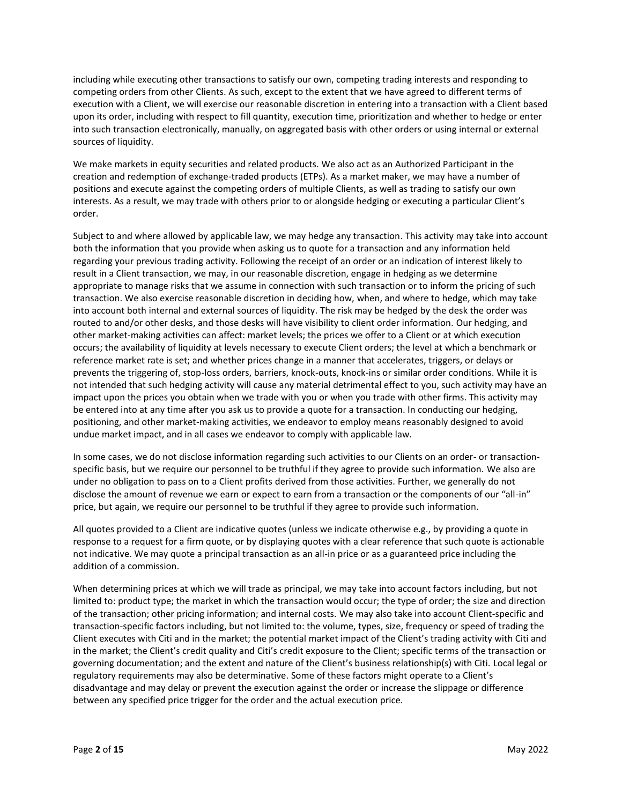including while executing other transactions to satisfy our own, competing trading interests and responding to competing orders from other Clients. As such, except to the extent that we have agreed to different terms of execution with a Client, we will exercise our reasonable discretion in entering into a transaction with a Client based upon its order, including with respect to fill quantity, execution time, prioritization and whether to hedge or enter into such transaction electronically, manually, on aggregated basis with other orders or using internal or external sources of liquidity.

We make markets in equity securities and related products. We also act as an Authorized Participant in the creation and redemption of exchange-traded products (ETPs). As a market maker, we may have a number of positions and execute against the competing orders of multiple Clients, as well as trading to satisfy our own interests. As a result, we may trade with others prior to or alongside hedging or executing a particular Client's order.

Subject to and where allowed by applicable law, we may hedge any transaction. This activity may take into account both the information that you provide when asking us to quote for a transaction and any information held regarding your previous trading activity. Following the receipt of an order or an indication of interest likely to result in a Client transaction, we may, in our reasonable discretion, engage in hedging as we determine appropriate to manage risks that we assume in connection with such transaction or to inform the pricing of such transaction. We also exercise reasonable discretion in deciding how, when, and where to hedge, which may take into account both internal and external sources of liquidity. The risk may be hedged by the desk the order was routed to and/or other desks, and those desks will have visibility to client order information. Our hedging, and other market-making activities can affect: market levels; the prices we offer to a Client or at which execution occurs; the availability of liquidity at levels necessary to execute Client orders; the level at which a benchmark or reference market rate is set; and whether prices change in a manner that accelerates, triggers, or delays or prevents the triggering of, stop-loss orders, barriers, knock-outs, knock-ins or similar order conditions. While it is not intended that such hedging activity will cause any material detrimental effect to you, such activity may have an impact upon the prices you obtain when we trade with you or when you trade with other firms. This activity may be entered into at any time after you ask us to provide a quote for a transaction. In conducting our hedging, positioning, and other market-making activities, we endeavor to employ means reasonably designed to avoid undue market impact, and in all cases we endeavor to comply with applicable law.

In some cases, we do not disclose information regarding such activities to our Clients on an order- or transactionspecific basis, but we require our personnel to be truthful if they agree to provide such information. We also are under no obligation to pass on to a Client profits derived from those activities. Further, we generally do not disclose the amount of revenue we earn or expect to earn from a transaction or the components of our "all-in" price, but again, we require our personnel to be truthful if they agree to provide such information.

All quotes provided to a Client are indicative quotes (unless we indicate otherwise e.g., by providing a quote in response to a request for a firm quote, or by displaying quotes with a clear reference that such quote is actionable not indicative. We may quote a principal transaction as an all-in price or as a guaranteed price including the addition of a commission.

When determining prices at which we will trade as principal, we may take into account factors including, but not limited to: product type; the market in which the transaction would occur; the type of order; the size and direction of the transaction; other pricing information; and internal costs. We may also take into account Client-specific and transaction-specific factors including, but not limited to: the volume, types, size, frequency or speed of trading the Client executes with Citi and in the market; the potential market impact of the Client's trading activity with Citi and in the market; the Client's credit quality and Citi's credit exposure to the Client; specific terms of the transaction or governing documentation; and the extent and nature of the Client's business relationship(s) with Citi. Local legal or regulatory requirements may also be determinative. Some of these factors might operate to a Client's disadvantage and may delay or prevent the execution against the order or increase the slippage or difference between any specified price trigger for the order and the actual execution price.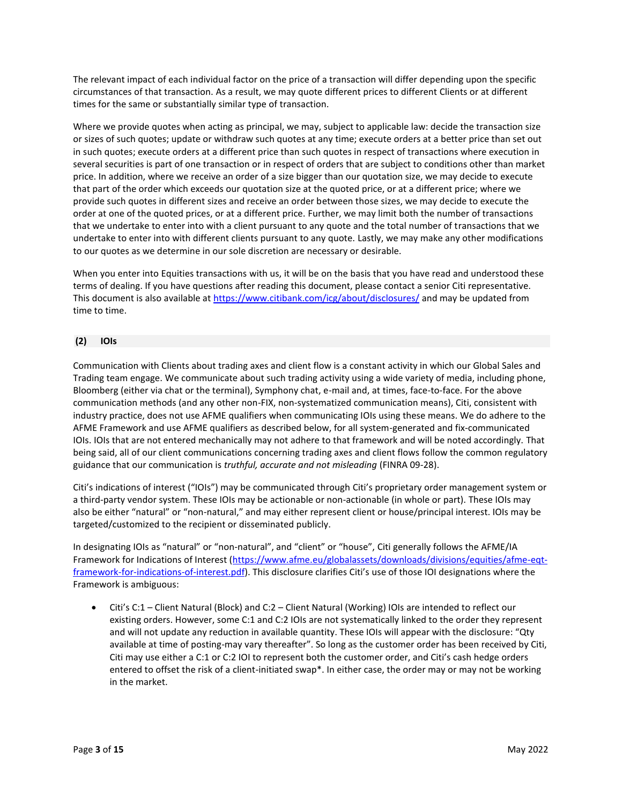The relevant impact of each individual factor on the price of a transaction will differ depending upon the specific circumstances of that transaction. As a result, we may quote different prices to different Clients or at different times for the same or substantially similar type of transaction.

Where we provide quotes when acting as principal, we may, subject to applicable law: decide the transaction size or sizes of such quotes; update or withdraw such quotes at any time; execute orders at a better price than set out in such quotes; execute orders at a different price than such quotes in respect of transactions where execution in several securities is part of one transaction or in respect of orders that are subject to conditions other than market price. In addition, where we receive an order of a size bigger than our quotation size, we may decide to execute that part of the order which exceeds our quotation size at the quoted price, or at a different price; where we provide such quotes in different sizes and receive an order between those sizes, we may decide to execute the order at one of the quoted prices, or at a different price. Further, we may limit both the number of transactions that we undertake to enter into with a client pursuant to any quote and the total number of transactions that we undertake to enter into with different clients pursuant to any quote. Lastly, we may make any other modifications to our quotes as we determine in our sole discretion are necessary or desirable.

When you enter into Equities transactions with us, it will be on the basis that you have read and understood these terms of dealing. If you have questions after reading this document, please contact a senior Citi representative. This document is also available at<https://www.citibank.com/icg/about/disclosures/> and may be updated from time to time.

# **(2) IOIs**

Communication with Clients about trading axes and client flow is a constant activity in which our Global Sales and Trading team engage. We communicate about such trading activity using a wide variety of media, including phone, Bloomberg (either via chat or the terminal), Symphony chat, e-mail and, at times, face-to-face. For the above communication methods (and any other non-FIX, non-systematized communication means), Citi, consistent with industry practice, does not use AFME qualifiers when communicating IOIs using these means. We do adhere to the AFME Framework and use AFME qualifiers as described below, for all system-generated and fix-communicated IOIs. IOIs that are not entered mechanically may not adhere to that framework and will be noted accordingly. That being said, all of our client communications concerning trading axes and client flows follow the common regulatory guidance that our communication is *truthful, accurate and not misleading* (FINRA 09-28).

Citi's indications of interest ("IOIs") may be communicated through Citi's proprietary order management system or a third-party vendor system. These IOIs may be actionable or non-actionable (in whole or part). These IOIs may also be either "natural" or "non-natural," and may either represent client or house/principal interest. IOIs may be targeted/customized to the recipient or disseminated publicly.

In designating IOIs as "natural" or "non-natural", and "client" or "house", Citi generally follows the AFME/IA Framework for Indications of Interest [\(https://www.afme.eu/globalassets/downloads/divisions/equities/afme-eqt](https://www.afme.eu/globalassets/downloads/divisions/equities/afme-eqt-framework-for-indications-of-interest.pdf)[framework-for-indications-of-interest.pdf\)](https://www.afme.eu/globalassets/downloads/divisions/equities/afme-eqt-framework-for-indications-of-interest.pdf). This disclosure clarifies Citi's use of those IOI designations where the Framework is ambiguous:

• Citi's C:1 – Client Natural (Block) and C:2 – Client Natural (Working) IOIs are intended to reflect our existing orders. However, some C:1 and C:2 IOIs are not systematically linked to the order they represent and will not update any reduction in available quantity. These IOIs will appear with the disclosure: "Qty available at time of posting-may vary thereafter". So long as the customer order has been received by Citi, Citi may use either a C:1 or C:2 IOI to represent both the customer order, and Citi's cash hedge orders entered to offset the risk of a client-initiated swap\*. In either case, the order may or may not be working in the market.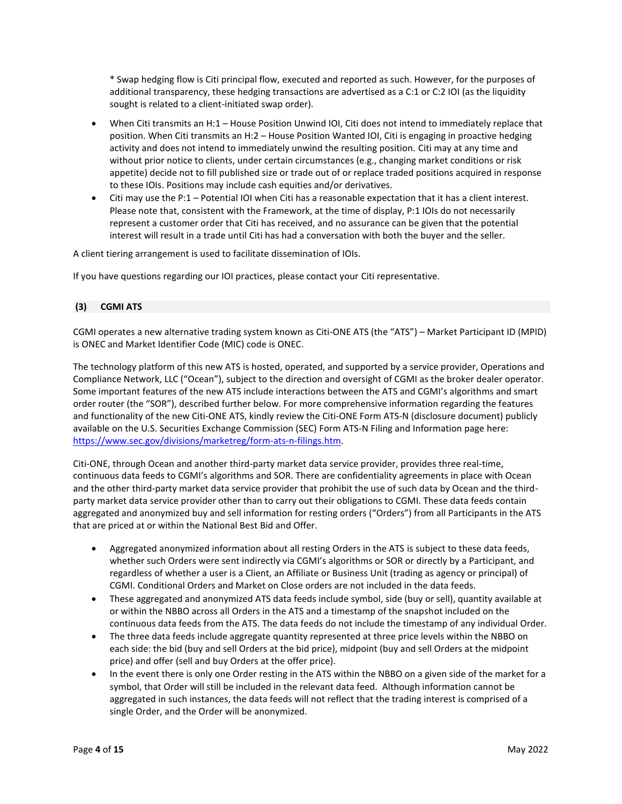\* Swap hedging flow is Citi principal flow, executed and reported as such. However, for the purposes of additional transparency, these hedging transactions are advertised as a C:1 or C:2 IOI (as the liquidity sought is related to a client-initiated swap order).

- When Citi transmits an H:1 House Position Unwind IOI, Citi does not intend to immediately replace that position. When Citi transmits an H:2 – House Position Wanted IOI, Citi is engaging in proactive hedging activity and does not intend to immediately unwind the resulting position. Citi may at any time and without prior notice to clients, under certain circumstances (e.g., changing market conditions or risk appetite) decide not to fill published size or trade out of or replace traded positions acquired in response to these IOIs. Positions may include cash equities and/or derivatives.
- Citi may use the P:1 Potential IOI when Citi has a reasonable expectation that it has a client interest. Please note that, consistent with the Framework, at the time of display, P:1 IOIs do not necessarily represent a customer order that Citi has received, and no assurance can be given that the potential interest will result in a trade until Citi has had a conversation with both the buyer and the seller.

A client tiering arrangement is used to facilitate dissemination of IOIs.

If you have questions regarding our IOI practices, please contact your Citi representative.

# **(3) CGMI ATS**

CGMI operates a new alternative trading system known as Citi-ONE ATS (the "ATS") – Market Participant ID (MPID) is ONEC and Market Identifier Code (MIC) code is ONEC.

The technology platform of this new ATS is hosted, operated, and supported by a service provider, Operations and Compliance Network, LLC ("Ocean"), subject to the direction and oversight of CGMI as the broker dealer operator. Some important features of the new ATS include interactions between the ATS and CGMI's algorithms and smart order router (the "SOR"), described further below. For more comprehensive information regarding the features and functionality of the new Citi-ONE ATS, kindly review the Citi-ONE Form ATS-N (disclosure document) publicly available on the U.S. Securities Exchange Commission (SEC) Form ATS-N Filing and Information page here: [https://www.sec.gov/divisions/marketreg/form-ats-n-filings.htm.](https://www.sec.gov/divisions/marketreg/form-ats-n-filings.htm)

Citi-ONE, through Ocean and another third-party market data service provider, provides three real-time, continuous data feeds to CGMI's algorithms and SOR. There are confidentiality agreements in place with Ocean and the other third-party market data service provider that prohibit the use of such data by Ocean and the thirdparty market data service provider other than to carry out their obligations to CGMI. These data feeds contain aggregated and anonymized buy and sell information for resting orders ("Orders") from all Participants in the ATS that are priced at or within the National Best Bid and Offer.

- Aggregated anonymized information about all resting Orders in the ATS is subject to these data feeds, whether such Orders were sent indirectly via CGMI's algorithms or SOR or directly by a Participant, and regardless of whether a user is a Client, an Affiliate or Business Unit (trading as agency or principal) of CGMI. Conditional Orders and Market on Close orders are not included in the data feeds.
- These aggregated and anonymized ATS data feeds include symbol, side (buy or sell), quantity available at or within the NBBO across all Orders in the ATS and a timestamp of the snapshot included on the continuous data feeds from the ATS. The data feeds do not include the timestamp of any individual Order.
- The three data feeds include aggregate quantity represented at three price levels within the NBBO on each side: the bid (buy and sell Orders at the bid price), midpoint (buy and sell Orders at the midpoint price) and offer (sell and buy Orders at the offer price).
- In the event there is only one Order resting in the ATS within the NBBO on a given side of the market for a symbol, that Order will still be included in the relevant data feed. Although information cannot be aggregated in such instances, the data feeds will not reflect that the trading interest is comprised of a single Order, and the Order will be anonymized.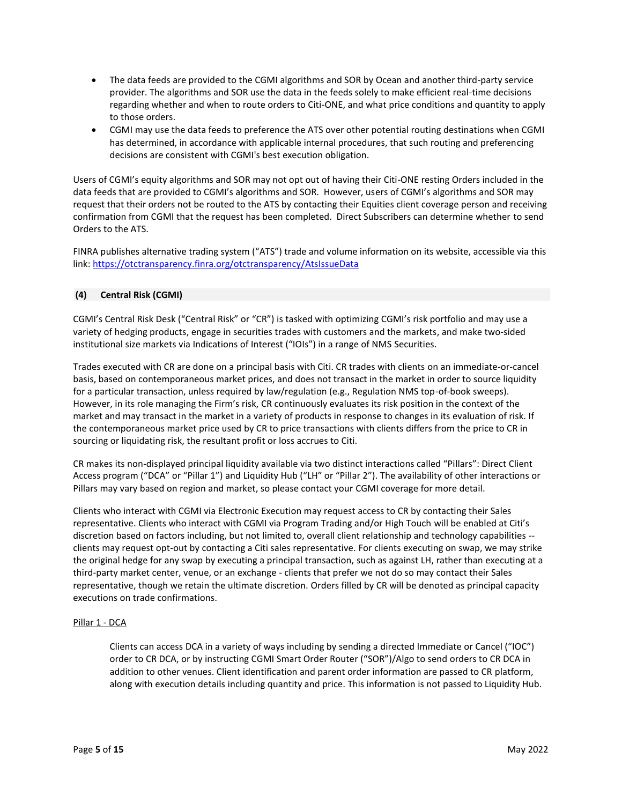- The data feeds are provided to the CGMI algorithms and SOR by Ocean and another third-party service provider. The algorithms and SOR use the data in the feeds solely to make efficient real-time decisions regarding whether and when to route orders to Citi-ONE, and what price conditions and quantity to apply to those orders.
- CGMI may use the data feeds to preference the ATS over other potential routing destinations when CGMI has determined, in accordance with applicable internal procedures, that such routing and preferencing decisions are consistent with CGMI's best execution obligation.

Users of CGMI's equity algorithms and SOR may not opt out of having their Citi-ONE resting Orders included in the data feeds that are provided to CGMI's algorithms and SOR. However, users of CGMI's algorithms and SOR may request that their orders not be routed to the ATS by contacting their Equities client coverage person and receiving confirmation from CGMI that the request has been completed. Direct Subscribers can determine whether to send Orders to the ATS.

FINRA publishes alternative trading system ("ATS") trade and volume information on its website, accessible via this link[: https://otctransparency.finra.org/otctransparency/AtsIssueData](https://otctransparency.finra.org/otctransparency/AtsIssueData)

# **(4) Central Risk (CGMI)**

CGMI's Central Risk Desk ("Central Risk" or "CR") is tasked with optimizing CGMI's risk portfolio and may use a variety of hedging products, engage in securities trades with customers and the markets, and make two-sided institutional size markets via Indications of Interest ("IOIs") in a range of NMS Securities.

Trades executed with CR are done on a principal basis with Citi. CR trades with clients on an immediate-or-cancel basis, based on contemporaneous market prices, and does not transact in the market in order to source liquidity for a particular transaction, unless required by law/regulation (e.g., Regulation NMS top-of-book sweeps). However, in its role managing the Firm's risk, CR continuously evaluates its risk position in the context of the market and may transact in the market in a variety of products in response to changes in its evaluation of risk. If the contemporaneous market price used by CR to price transactions with clients differs from the price to CR in sourcing or liquidating risk, the resultant profit or loss accrues to Citi.

CR makes its non-displayed principal liquidity available via two distinct interactions called "Pillars": Direct Client Access program ("DCA" or "Pillar 1") and Liquidity Hub ("LH" or "Pillar 2"). The availability of other interactions or Pillars may vary based on region and market, so please contact your CGMI coverage for more detail.

Clients who interact with CGMI via Electronic Execution may request access to CR by contacting their Sales representative. Clients who interact with CGMI via Program Trading and/or High Touch will be enabled at Citi's discretion based on factors including, but not limited to, overall client relationship and technology capabilities - clients may request opt-out by contacting a Citi sales representative. For clients executing on swap, we may strike the original hedge for any swap by executing a principal transaction, such as against LH, rather than executing at a third-party market center, venue, or an exchange - clients that prefer we not do so may contact their Sales representative, though we retain the ultimate discretion. Orders filled by CR will be denoted as principal capacity executions on trade confirmations.

# Pillar 1 - DCA

Clients can access DCA in a variety of ways including by sending a directed Immediate or Cancel ("IOC") order to CR DCA, or by instructing CGMI Smart Order Router ("SOR")/Algo to send orders to CR DCA in addition to other venues. Client identification and parent order information are passed to CR platform, along with execution details including quantity and price. This information is not passed to Liquidity Hub.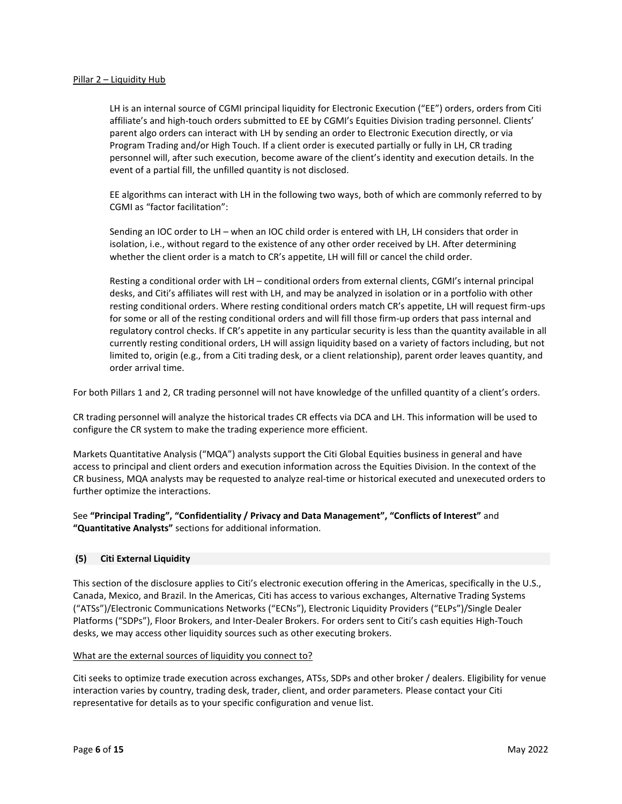### Pillar 2 – Liquidity Hub

LH is an internal source of CGMI principal liquidity for Electronic Execution ("EE") orders, orders from Citi affiliate's and high-touch orders submitted to EE by CGMI's Equities Division trading personnel. Clients' parent algo orders can interact with LH by sending an order to Electronic Execution directly, or via Program Trading and/or High Touch. If a client order is executed partially or fully in LH, CR trading personnel will, after such execution, become aware of the client's identity and execution details. In the event of a partial fill, the unfilled quantity is not disclosed.

EE algorithms can interact with LH in the following two ways, both of which are commonly referred to by CGMI as "factor facilitation":

Sending an IOC order to LH – when an IOC child order is entered with LH, LH considers that order in isolation, i.e., without regard to the existence of any other order received by LH. After determining whether the client order is a match to CR's appetite, LH will fill or cancel the child order.

Resting a conditional order with LH – conditional orders from external clients, CGMI's internal principal desks, and Citi's affiliates will rest with LH, and may be analyzed in isolation or in a portfolio with other resting conditional orders. Where resting conditional orders match CR's appetite, LH will request firm-ups for some or all of the resting conditional orders and will fill those firm-up orders that pass internal and regulatory control checks. If CR's appetite in any particular security is less than the quantity available in all currently resting conditional orders, LH will assign liquidity based on a variety of factors including, but not limited to, origin (e.g., from a Citi trading desk, or a client relationship), parent order leaves quantity, and order arrival time.

For both Pillars 1 and 2, CR trading personnel will not have knowledge of the unfilled quantity of a client's orders.

CR trading personnel will analyze the historical trades CR effects via DCA and LH. This information will be used to configure the CR system to make the trading experience more efficient.

Markets Quantitative Analysis ("MQA") analysts support the Citi Global Equities business in general and have access to principal and client orders and execution information across the Equities Division. In the context of the CR business, MQA analysts may be requested to analyze real-time or historical executed and unexecuted orders to further optimize the interactions.

See **"Principal Trading", "Confidentiality / Privacy and Data Management", "Conflicts of Interest"** and **"Quantitative Analysts"** sections for additional information.

### **(5) Citi External Liquidity**

This section of the disclosure applies to Citi's electronic execution offering in the Americas, specifically in the U.S., Canada, Mexico, and Brazil. In the Americas, Citi has access to various exchanges, Alternative Trading Systems ("ATSs")/Electronic Communications Networks ("ECNs"), Electronic Liquidity Providers ("ELPs")/Single Dealer Platforms ("SDPs"), Floor Brokers, and Inter-Dealer Brokers. For orders sent to Citi's cash equities High-Touch desks, we may access other liquidity sources such as other executing brokers.

### What are the external sources of liquidity you connect to?

Citi seeks to optimize trade execution across exchanges, ATSs, SDPs and other broker / dealers. Eligibility for venue interaction varies by country, trading desk, trader, client, and order parameters. Please contact your Citi representative for details as to your specific configuration and venue list.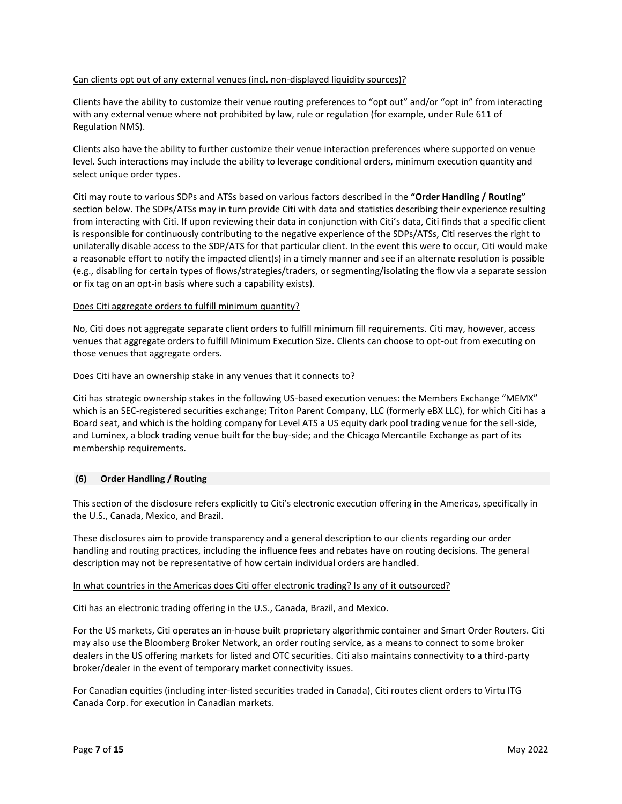## Can clients opt out of any external venues (incl. non-displayed liquidity sources)?

Clients have the ability to customize their venue routing preferences to "opt out" and/or "opt in" from interacting with any external venue where not prohibited by law, rule or regulation (for example, under Rule 611 of Regulation NMS).

Clients also have the ability to further customize their venue interaction preferences where supported on venue level. Such interactions may include the ability to leverage conditional orders, minimum execution quantity and select unique order types.

Citi may route to various SDPs and ATSs based on various factors described in the **"Order Handling / Routing"**  section below. The SDPs/ATSs may in turn provide Citi with data and statistics describing their experience resulting from interacting with Citi. If upon reviewing their data in conjunction with Citi's data, Citi finds that a specific client is responsible for continuously contributing to the negative experience of the SDPs/ATSs, Citi reserves the right to unilaterally disable access to the SDP/ATS for that particular client. In the event this were to occur, Citi would make a reasonable effort to notify the impacted client(s) in a timely manner and see if an alternate resolution is possible (e.g., disabling for certain types of flows/strategies/traders, or segmenting/isolating the flow via a separate session or fix tag on an opt-in basis where such a capability exists).

## Does Citi aggregate orders to fulfill minimum quantity?

No, Citi does not aggregate separate client orders to fulfill minimum fill requirements. Citi may, however, access venues that aggregate orders to fulfill Minimum Execution Size. Clients can choose to opt-out from executing on those venues that aggregate orders.

## Does Citi have an ownership stake in any venues that it connects to?

Citi has strategic ownership stakes in the following US-based execution venues: the Members Exchange "MEMX" which is an SEC-registered securities exchange; Triton Parent Company, LLC (formerly eBX LLC), for which Citi has a Board seat, and which is the holding company for Level ATS a US equity dark pool trading venue for the sell-side, and Luminex, a block trading venue built for the buy-side; and the Chicago Mercantile Exchange as part of its membership requirements.

### **(6) Order Handling / Routing**

This section of the disclosure refers explicitly to Citi's electronic execution offering in the Americas, specifically in the U.S., Canada, Mexico, and Brazil.

These disclosures aim to provide transparency and a general description to our clients regarding our order handling and routing practices, including the influence fees and rebates have on routing decisions. The general description may not be representative of how certain individual orders are handled.

### In what countries in the Americas does Citi offer electronic trading? Is any of it outsourced?

Citi has an electronic trading offering in the U.S., Canada, Brazil, and Mexico.

For the US markets, Citi operates an in-house built proprietary algorithmic container and Smart Order Routers. Citi may also use the Bloomberg Broker Network, an order routing service, as a means to connect to some broker dealers in the US offering markets for listed and OTC securities. Citi also maintains connectivity to a third-party broker/dealer in the event of temporary market connectivity issues.

For Canadian equities (including inter-listed securities traded in Canada), Citi routes client orders to Virtu ITG Canada Corp. for execution in Canadian markets.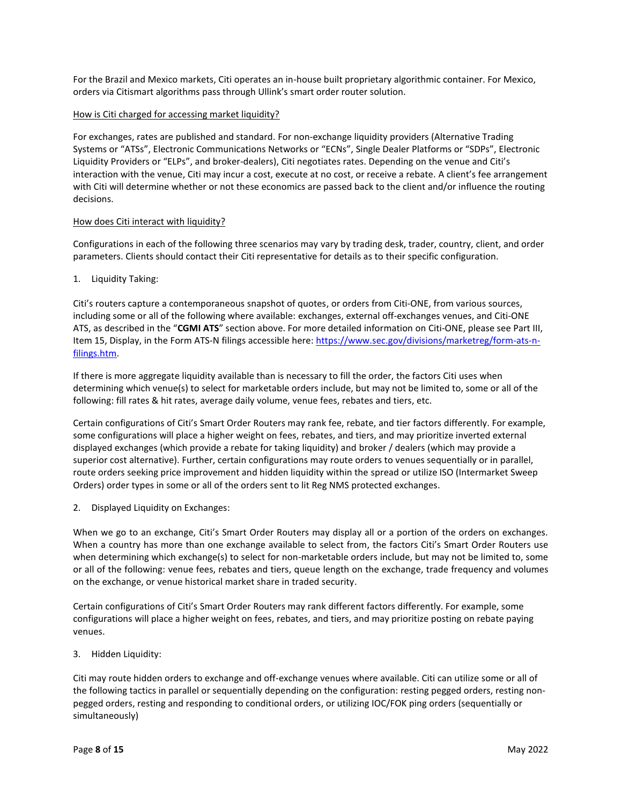For the Brazil and Mexico markets, Citi operates an in-house built proprietary algorithmic container. For Mexico, orders via Citismart algorithms pass through Ullink's smart order router solution.

## How is Citi charged for accessing market liquidity?

For exchanges, rates are published and standard. For non-exchange liquidity providers (Alternative Trading Systems or "ATSs", Electronic Communications Networks or "ECNs", Single Dealer Platforms or "SDPs", Electronic Liquidity Providers or "ELPs", and broker-dealers), Citi negotiates rates. Depending on the venue and Citi's interaction with the venue, Citi may incur a cost, execute at no cost, or receive a rebate. A client's fee arrangement with Citi will determine whether or not these economics are passed back to the client and/or influence the routing decisions.

### How does Citi interact with liquidity?

Configurations in each of the following three scenarios may vary by trading desk, trader, country, client, and order parameters. Clients should contact their Citi representative for details as to their specific configuration.

## 1. Liquidity Taking:

Citi's routers capture a contemporaneous snapshot of quotes, or orders from Citi-ONE, from various sources, including some or all of the following where available: exchanges, external off-exchanges venues, and Citi-ONE ATS, as described in the "**CGMI ATS**" section above. For more detailed information on Citi-ONE, please see Part III, Item 15, Display, in the Form ATS-N filings accessible here: [https://www.sec.gov/divisions/marketreg/form-ats-n](https://www.sec.gov/divisions/marketreg/form-ats-n-filings.htm)[filings.htm.](https://www.sec.gov/divisions/marketreg/form-ats-n-filings.htm)

If there is more aggregate liquidity available than is necessary to fill the order, the factors Citi uses when determining which venue(s) to select for marketable orders include, but may not be limited to, some or all of the following: fill rates & hit rates, average daily volume, venue fees, rebates and tiers, etc.

Certain configurations of Citi's Smart Order Routers may rank fee, rebate, and tier factors differently. For example, some configurations will place a higher weight on fees, rebates, and tiers, and may prioritize inverted external displayed exchanges (which provide a rebate for taking liquidity) and broker / dealers (which may provide a superior cost alternative). Further, certain configurations may route orders to venues sequentially or in parallel, route orders seeking price improvement and hidden liquidity within the spread or utilize ISO (Intermarket Sweep Orders) order types in some or all of the orders sent to lit Reg NMS protected exchanges.

2. Displayed Liquidity on Exchanges:

When we go to an exchange, Citi's Smart Order Routers may display all or a portion of the orders on exchanges. When a country has more than one exchange available to select from, the factors Citi's Smart Order Routers use when determining which exchange(s) to select for non-marketable orders include, but may not be limited to, some or all of the following: venue fees, rebates and tiers, queue length on the exchange, trade frequency and volumes on the exchange, or venue historical market share in traded security.

Certain configurations of Citi's Smart Order Routers may rank different factors differently. For example, some configurations will place a higher weight on fees, rebates, and tiers, and may prioritize posting on rebate paying venues.

3. Hidden Liquidity:

Citi may route hidden orders to exchange and off-exchange venues where available. Citi can utilize some or all of the following tactics in parallel or sequentially depending on the configuration: resting pegged orders, resting nonpegged orders, resting and responding to conditional orders, or utilizing IOC/FOK ping orders (sequentially or simultaneously)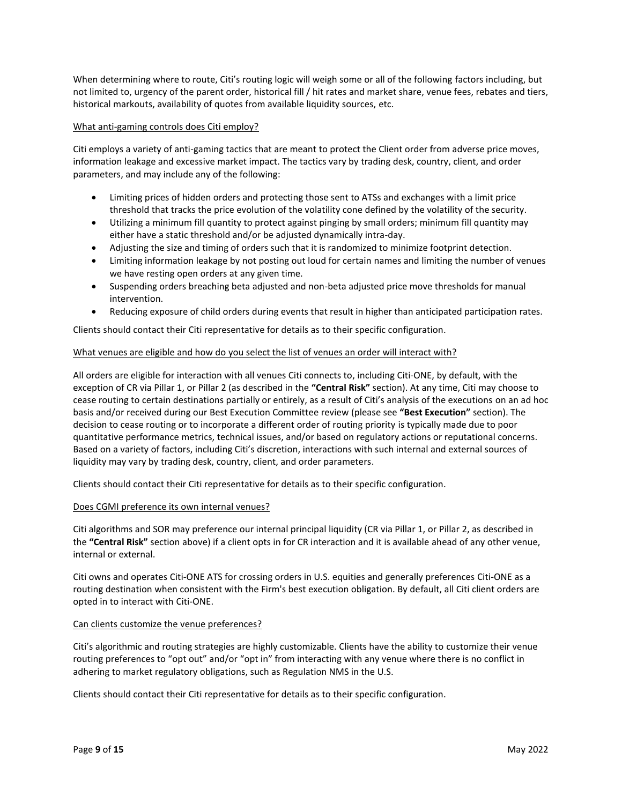When determining where to route, Citi's routing logic will weigh some or all of the following factors including, but not limited to, urgency of the parent order, historical fill / hit rates and market share, venue fees, rebates and tiers, historical markouts, availability of quotes from available liquidity sources, etc.

### What anti-gaming controls does Citi employ?

Citi employs a variety of anti-gaming tactics that are meant to protect the Client order from adverse price moves, information leakage and excessive market impact. The tactics vary by trading desk, country, client, and order parameters, and may include any of the following:

- Limiting prices of hidden orders and protecting those sent to ATSs and exchanges with a limit price threshold that tracks the price evolution of the volatility cone defined by the volatility of the security.
- Utilizing a minimum fill quantity to protect against pinging by small orders; minimum fill quantity may either have a static threshold and/or be adjusted dynamically intra-day.
- Adjusting the size and timing of orders such that it is randomized to minimize footprint detection.
- Limiting information leakage by not posting out loud for certain names and limiting the number of venues we have resting open orders at any given time.
- Suspending orders breaching beta adjusted and non-beta adjusted price move thresholds for manual intervention.
- Reducing exposure of child orders during events that result in higher than anticipated participation rates.

Clients should contact their Citi representative for details as to their specific configuration.

## What venues are eligible and how do you select the list of venues an order will interact with?

All orders are eligible for interaction with all venues Citi connects to, including Citi-ONE, by default, with the exception of CR via Pillar 1, or Pillar 2 (as described in the **"Central Risk"** section). At any time, Citi may choose to cease routing to certain destinations partially or entirely, as a result of Citi's analysis of the executions on an ad hoc basis and/or received during our Best Execution Committee review (please see **"Best Execution"** section). The decision to cease routing or to incorporate a different order of routing priority is typically made due to poor quantitative performance metrics, technical issues, and/or based on regulatory actions or reputational concerns. Based on a variety of factors, including Citi's discretion, interactions with such internal and external sources of liquidity may vary by trading desk, country, client, and order parameters.

Clients should contact their Citi representative for details as to their specific configuration.

# Does CGMI preference its own internal venues?

Citi algorithms and SOR may preference our internal principal liquidity (CR via Pillar 1, or Pillar 2, as described in the **"Central Risk"** section above) if a client opts in for CR interaction and it is available ahead of any other venue, internal or external.

Citi owns and operates Citi-ONE ATS for crossing orders in U.S. equities and generally preferences Citi-ONE as a routing destination when consistent with the Firm's best execution obligation. By default, all Citi client orders are opted in to interact with Citi-ONE.

### Can clients customize the venue preferences?

Citi's algorithmic and routing strategies are highly customizable. Clients have the ability to customize their venue routing preferences to "opt out" and/or "opt in" from interacting with any venue where there is no conflict in adhering to market regulatory obligations, such as Regulation NMS in the U.S.

Clients should contact their Citi representative for details as to their specific configuration.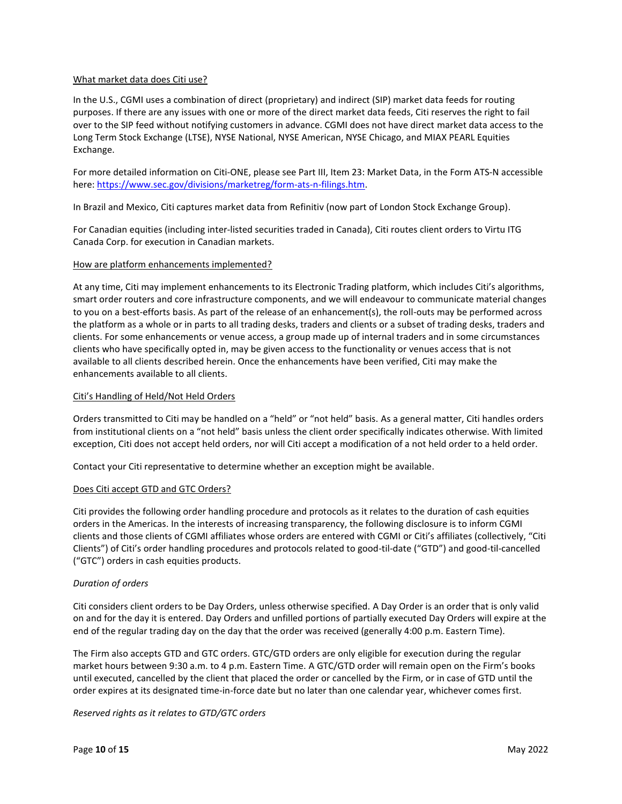### What market data does Citi use?

In the U.S., CGMI uses a combination of direct (proprietary) and indirect (SIP) market data feeds for routing purposes. If there are any issues with one or more of the direct market data feeds, Citi reserves the right to fail over to the SIP feed without notifying customers in advance. CGMI does not have direct market data access to the Long Term Stock Exchange (LTSE), NYSE National, NYSE American, NYSE Chicago, and MIAX PEARL Equities Exchange.

For more detailed information on Citi-ONE, please see Part III, Item 23: Market Data, in the Form ATS-N accessible here[: https://www.sec.gov/divisions/marketreg/form-ats-n-filings.htm.](https://www.sec.gov/divisions/marketreg/form-ats-n-filings.htm) 

In Brazil and Mexico, Citi captures market data from Refinitiv (now part of London Stock Exchange Group).

For Canadian equities (including inter-listed securities traded in Canada), Citi routes client orders to Virtu ITG Canada Corp. for execution in Canadian markets.

### How are platform enhancements implemented?

At any time, Citi may implement enhancements to its Electronic Trading platform, which includes Citi's algorithms, smart order routers and core infrastructure components, and we will endeavour to communicate material changes to you on a best-efforts basis. As part of the release of an enhancement(s), the roll-outs may be performed across the platform as a whole or in parts to all trading desks, traders and clients or a subset of trading desks, traders and clients. For some enhancements or venue access, a group made up of internal traders and in some circumstances clients who have specifically opted in, may be given access to the functionality or venues access that is not available to all clients described herein. Once the enhancements have been verified, Citi may make the enhancements available to all clients.

### Citi's Handling of Held/Not Held Orders

Orders transmitted to Citi may be handled on a "held" or "not held" basis. As a general matter, Citi handles orders from institutional clients on a "not held" basis unless the client order specifically indicates otherwise. With limited exception, Citi does not accept held orders, nor will Citi accept a modification of a not held order to a held order.

Contact your Citi representative to determine whether an exception might be available.

### Does Citi accept GTD and GTC Orders?

Citi provides the following order handling procedure and protocols as it relates to the duration of cash equities orders in the Americas. In the interests of increasing transparency, the following disclosure is to inform CGMI clients and those clients of CGMI affiliates whose orders are entered with CGMI or Citi's affiliates (collectively, "Citi Clients") of Citi's order handling procedures and protocols related to good-til-date ("GTD") and good-til-cancelled ("GTC") orders in cash equities products.

# *Duration of orders*

Citi considers client orders to be Day Orders, unless otherwise specified. A Day Order is an order that is only valid on and for the day it is entered. Day Orders and unfilled portions of partially executed Day Orders will expire at the end of the regular trading day on the day that the order was received (generally 4:00 p.m. Eastern Time).

The Firm also accepts GTD and GTC orders. GTC/GTD orders are only eligible for execution during the regular market hours between 9:30 a.m. to 4 p.m. Eastern Time. A GTC/GTD order will remain open on the Firm's books until executed, cancelled by the client that placed the order or cancelled by the Firm, or in case of GTD until the order expires at its designated time-in-force date but no later than one calendar year, whichever comes first.

*Reserved rights as it relates to GTD/GTC orders*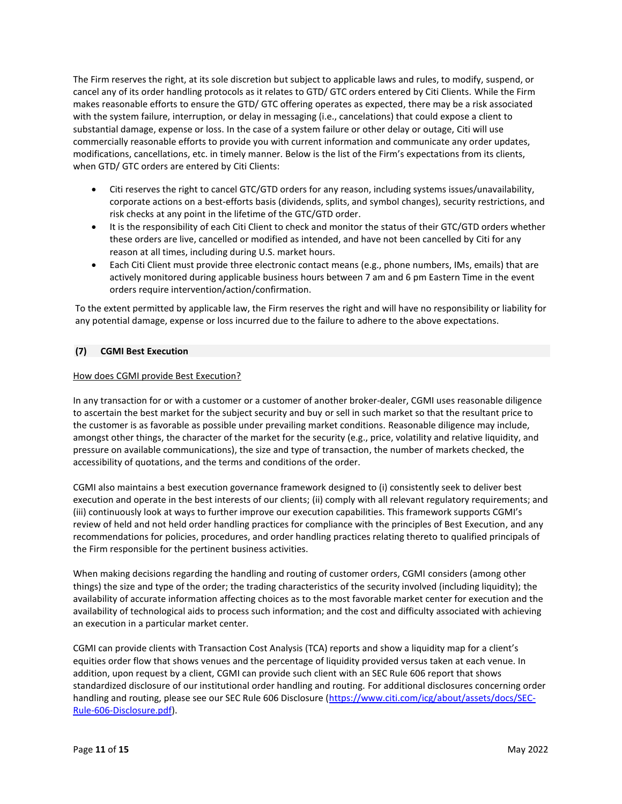The Firm reserves the right, at its sole discretion but subject to applicable laws and rules, to modify, suspend, or cancel any of its order handling protocols as it relates to GTD/ GTC orders entered by Citi Clients. While the Firm makes reasonable efforts to ensure the GTD/ GTC offering operates as expected, there may be a risk associated with the system failure, interruption, or delay in messaging (i.e., cancelations) that could expose a client to substantial damage, expense or loss. In the case of a system failure or other delay or outage, Citi will use commercially reasonable efforts to provide you with current information and communicate any order updates, modifications, cancellations, etc. in timely manner. Below is the list of the Firm's expectations from its clients, when GTD/ GTC orders are entered by Citi Clients:

- Citi reserves the right to cancel GTC/GTD orders for any reason, including systems issues/unavailability, corporate actions on a best-efforts basis (dividends, splits, and symbol changes), security restrictions, and risk checks at any point in the lifetime of the GTC/GTD order.
- It is the responsibility of each Citi Client to check and monitor the status of their GTC/GTD orders whether these orders are live, cancelled or modified as intended, and have not been cancelled by Citi for any reason at all times, including during U.S. market hours.
- Each Citi Client must provide three electronic contact means (e.g., phone numbers, IMs, emails) that are actively monitored during applicable business hours between 7 am and 6 pm Eastern Time in the event orders require intervention/action/confirmation.

To the extent permitted by applicable law, the Firm reserves the right and will have no responsibility or liability for any potential damage, expense or loss incurred due to the failure to adhere to the above expectations.

# **(7) CGMI Best Execution**

## How does CGMI provide Best Execution?

In any transaction for or with a customer or a customer of another broker-dealer, CGMI uses reasonable diligence to ascertain the best market for the subject security and buy or sell in such market so that the resultant price to the customer is as favorable as possible under prevailing market conditions. Reasonable diligence may include, amongst other things, the character of the market for the security (e.g., price, volatility and relative liquidity, and pressure on available communications), the size and type of transaction, the number of markets checked, the accessibility of quotations, and the terms and conditions of the order.

CGMI also maintains a best execution governance framework designed to (i) consistently seek to deliver best execution and operate in the best interests of our clients; (ii) comply with all relevant regulatory requirements; and (iii) continuously look at ways to further improve our execution capabilities. This framework supports CGMI's review of held and not held order handling practices for compliance with the principles of Best Execution, and any recommendations for policies, procedures, and order handling practices relating thereto to qualified principals of the Firm responsible for the pertinent business activities.

When making decisions regarding the handling and routing of customer orders, CGMI considers (among other things) the size and type of the order; the trading characteristics of the security involved (including liquidity); the availability of accurate information affecting choices as to the most favorable market center for execution and the availability of technological aids to process such information; and the cost and difficulty associated with achieving an execution in a particular market center.

CGMI can provide clients with Transaction Cost Analysis (TCA) reports and show a liquidity map for a client's equities order flow that shows venues and the percentage of liquidity provided versus taken at each venue. In addition, upon request by a client, CGMI can provide such client with an SEC Rule 606 report that shows standardized disclosure of our institutional order handling and routing. For additional disclosures concerning order handling and routing, please see our SEC Rule 606 Disclosure [\(https://www.citi.com/icg/about/assets/docs/SEC-](https://www.citi.com/icg/about/assets/docs/SEC-Rule-606-Disclosure.pdf)[Rule-606-Disclosure.pdf\)](https://www.citi.com/icg/about/assets/docs/SEC-Rule-606-Disclosure.pdf).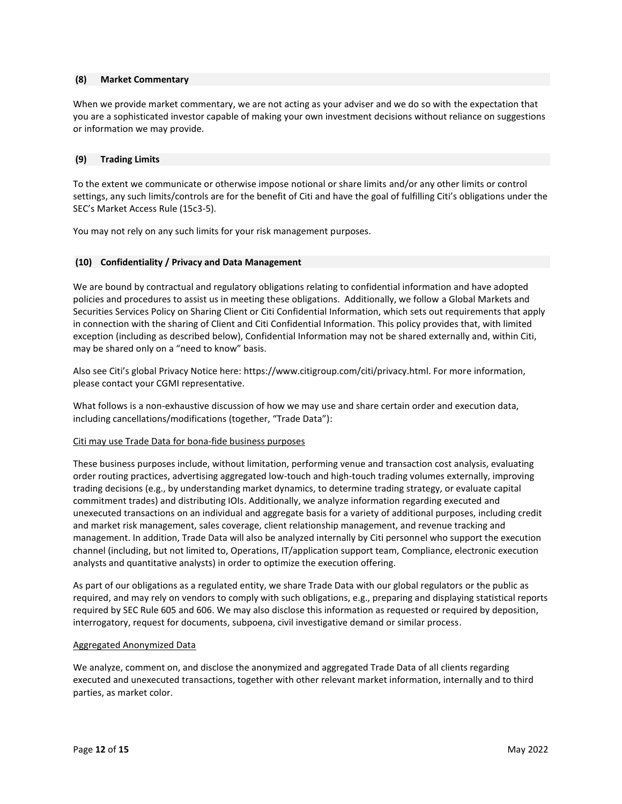### **(8) Market Commentary**

When we provide market commentary, we are not acting as your adviser and we do so with the expectation that you are a sophisticated investor capable of making your own investment decisions without reliance on suggestions or information we may provide.

## **(9) Trading Limits**

To the extent we communicate or otherwise impose notional or share limits and/or any other limits or control settings, any such limits/controls are for the benefit of Citi and have the goal of fulfilling Citi's obligations under the SEC's Market Access Rule (15c3-5).

You may not rely on any such limits for your risk management purposes.

## **(10) Confidentiality / Privacy and Data Management**

We are bound by contractual and regulatory obligations relating to confidential information and have adopted policies and procedures to assist us in meeting these obligations. Additionally, we follow a Global Markets and Securities Services Policy on Sharing Client or Citi Confidential Information, which sets out requirements that apply in connection with the sharing of Client and Citi Confidential Information. This policy provides that, with limited exception (including as described below), Confidential Information may not be shared externally and, within Citi, may be shared only on a "need to know" basis.

Also see Citi's global Privacy Notice here: https://www.citigroup.com/citi/privacy.html. For more information, please contact your CGMI representative.

What follows is a non-exhaustive discussion of how we may use and share certain order and execution data, including cancellations/modifications (together, "Trade Data"):

### Citi may use Trade Data for bona-fide business purposes

These business purposes include, without limitation, performing venue and transaction cost analysis, evaluating order routing practices, advertising aggregated low-touch and high-touch trading volumes externally, improving trading decisions (e.g., by understanding market dynamics, to determine trading strategy, or evaluate capital commitment trades) and distributing IOIs. Additionally, we analyze information regarding executed and unexecuted transactions on an individual and aggregate basis for a variety of additional purposes, including credit and market risk management, sales coverage, client relationship management, and revenue tracking and management. In addition, Trade Data will also be analyzed internally by Citi personnel who support the execution channel (including, but not limited to, Operations, IT/application support team, Compliance, electronic execution analysts and quantitative analysts) in order to optimize the execution offering.

As part of our obligations as a regulated entity, we share Trade Data with our global regulators or the public as required, and may rely on vendors to comply with such obligations, e.g., preparing and displaying statistical reports required by SEC Rule 605 and 606. We may also disclose this information as requested or required by deposition, interrogatory, request for documents, subpoena, civil investigative demand or similar process.

### Aggregated Anonymized Data

We analyze, comment on, and disclose the anonymized and aggregated Trade Data of all clients regarding executed and unexecuted transactions, together with other relevant market information, internally and to third parties, as market color.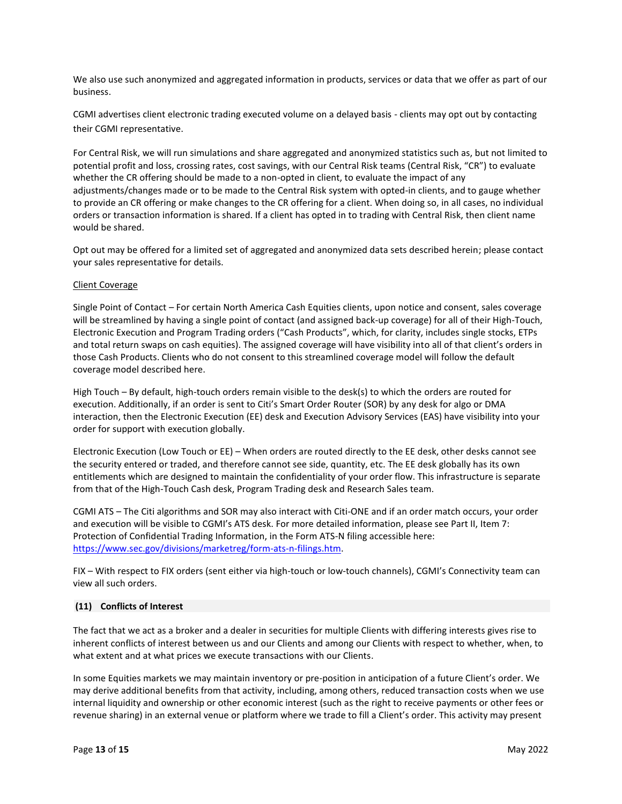We also use such anonymized and aggregated information in products, services or data that we offer as part of our business.

CGMI advertises client electronic trading executed volume on a delayed basis - clients may opt out by contacting their CGMI representative.

For Central Risk, we will run simulations and share aggregated and anonymized statistics such as, but not limited to potential profit and loss, crossing rates, cost savings, with our Central Risk teams (Central Risk, "CR") to evaluate whether the CR offering should be made to a non-opted in client, to evaluate the impact of any adjustments/changes made or to be made to the Central Risk system with opted-in clients, and to gauge whether to provide an CR offering or make changes to the CR offering for a client. When doing so, in all cases, no individual orders or transaction information is shared. If a client has opted in to trading with Central Risk, then client name would be shared.

Opt out may be offered for a limited set of aggregated and anonymized data sets described herein; please contact your sales representative for details.

### Client Coverage

Single Point of Contact – For certain North America Cash Equities clients, upon notice and consent, sales coverage will be streamlined by having a single point of contact (and assigned back-up coverage) for all of their High-Touch, Electronic Execution and Program Trading orders ("Cash Products", which, for clarity, includes single stocks, ETPs and total return swaps on cash equities). The assigned coverage will have visibility into all of that client's orders in those Cash Products. Clients who do not consent to this streamlined coverage model will follow the default coverage model described here.

High Touch – By default, high-touch orders remain visible to the desk(s) to which the orders are routed for execution. Additionally, if an order is sent to Citi's Smart Order Router (SOR) by any desk for algo or DMA interaction, then the Electronic Execution (EE) desk and Execution Advisory Services (EAS) have visibility into your order for support with execution globally.

Electronic Execution (Low Touch or EE) – When orders are routed directly to the EE desk, other desks cannot see the security entered or traded, and therefore cannot see side, quantity, etc. The EE desk globally has its own entitlements which are designed to maintain the confidentiality of your order flow. This infrastructure is separate from that of the High-Touch Cash desk, Program Trading desk and Research Sales team.

CGMI ATS – The Citi algorithms and SOR may also interact with Citi-ONE and if an order match occurs, your order and execution will be visible to CGMI's ATS desk. For more detailed information, please see Part II, Item 7: Protection of Confidential Trading Information, in the Form ATS-N filing accessible here: [https://www.sec.gov/divisions/marketreg/form-ats-n-filings.htm.](https://www.sec.gov/divisions/marketreg/form-ats-n-filings.htm)

FIX – With respect to FIX orders (sent either via high-touch or low-touch channels), CGMI's Connectivity team can view all such orders.

### **(11) Conflicts of Interest**

The fact that we act as a broker and a dealer in securities for multiple Clients with differing interests gives rise to inherent conflicts of interest between us and our Clients and among our Clients with respect to whether, when, to what extent and at what prices we execute transactions with our Clients.

In some Equities markets we may maintain inventory or pre-position in anticipation of a future Client's order. We may derive additional benefits from that activity, including, among others, reduced transaction costs when we use internal liquidity and ownership or other economic interest (such as the right to receive payments or other fees or revenue sharing) in an external venue or platform where we trade to fill a Client's order. This activity may present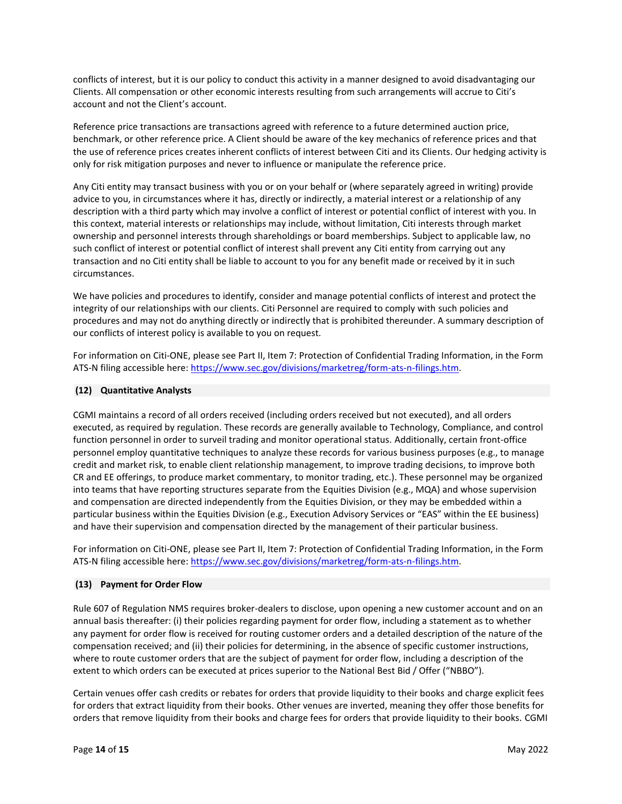conflicts of interest, but it is our policy to conduct this activity in a manner designed to avoid disadvantaging our Clients. All compensation or other economic interests resulting from such arrangements will accrue to Citi's account and not the Client's account.

Reference price transactions are transactions agreed with reference to a future determined auction price, benchmark, or other reference price. A Client should be aware of the key mechanics of reference prices and that the use of reference prices creates inherent conflicts of interest between Citi and its Clients. Our hedging activity is only for risk mitigation purposes and never to influence or manipulate the reference price.

Any Citi entity may transact business with you or on your behalf or (where separately agreed in writing) provide advice to you, in circumstances where it has, directly or indirectly, a material interest or a relationship of any description with a third party which may involve a conflict of interest or potential conflict of interest with you. In this context, material interests or relationships may include, without limitation, Citi interests through market ownership and personnel interests through shareholdings or board memberships. Subject to applicable law, no such conflict of interest or potential conflict of interest shall prevent any Citi entity from carrying out any transaction and no Citi entity shall be liable to account to you for any benefit made or received by it in such circumstances.

We have policies and procedures to identify, consider and manage potential conflicts of interest and protect the integrity of our relationships with our clients. Citi Personnel are required to comply with such policies and procedures and may not do anything directly or indirectly that is prohibited thereunder. A summary description of our conflicts of interest policy is available to you on request.

For information on Citi-ONE, please see Part II, Item 7: Protection of Confidential Trading Information, in the Form ATS-N filing accessible here: [https://www.sec.gov/divisions/marketreg/form-ats-n-filings.htm.](https://www.sec.gov/divisions/marketreg/form-ats-n-filings.htm)

## **(12) Quantitative Analysts**

CGMI maintains a record of all orders received (including orders received but not executed), and all orders executed, as required by regulation. These records are generally available to Technology, Compliance, and control function personnel in order to surveil trading and monitor operational status. Additionally, certain front-office personnel employ quantitative techniques to analyze these records for various business purposes (e.g., to manage credit and market risk, to enable client relationship management, to improve trading decisions, to improve both CR and EE offerings, to produce market commentary, to monitor trading, etc.). These personnel may be organized into teams that have reporting structures separate from the Equities Division (e.g., MQA) and whose supervision and compensation are directed independently from the Equities Division, or they may be embedded within a particular business within the Equities Division (e.g., Execution Advisory Services or "EAS" within the EE business) and have their supervision and compensation directed by the management of their particular business.

For information on Citi-ONE, please see Part II, Item 7: Protection of Confidential Trading Information, in the Form ATS-N filing accessible here: [https://www.sec.gov/divisions/marketreg/form-ats-n-filings.htm.](https://www.sec.gov/divisions/marketreg/form-ats-n-filings.htm)

### **(13) Payment for Order Flow**

Rule 607 of Regulation NMS requires broker-dealers to disclose, upon opening a new customer account and on an annual basis thereafter: (i) their policies regarding payment for order flow, including a statement as to whether any payment for order flow is received for routing customer orders and a detailed description of the nature of the compensation received; and (ii) their policies for determining, in the absence of specific customer instructions, where to route customer orders that are the subject of payment for order flow, including a description of the extent to which orders can be executed at prices superior to the National Best Bid / Offer ("NBBO").

Certain venues offer cash credits or rebates for orders that provide liquidity to their books and charge explicit fees for orders that extract liquidity from their books. Other venues are inverted, meaning they offer those benefits for orders that remove liquidity from their books and charge fees for orders that provide liquidity to their books. CGMI